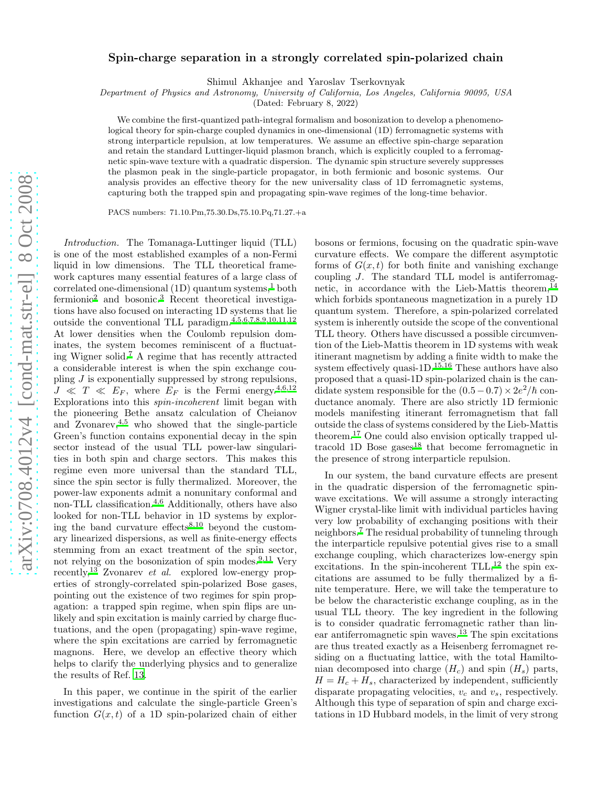## Spin-charge separation in a strongly correlated spin-polarized chain

Shimul Akhanjee and Yaroslav Tserkovnyak

Department of Physics and Astronomy, University of California, Los Angeles, California 90095, USA

(Dated: February 8, 2022)

We combine the first-quantized path-integral formalism and bosonization to develop a phenomenological theory for spin-charge coupled dynamics in one-dimensional (1D) ferromagnetic systems with strong interparticle repulsion, at low temperatures. We assume an effective spin-charge separation and retain the standard Luttinger-liquid plasmon branch, which is explicitly coupled to a ferromagnetic spin-wave texture with a quadratic dispersion. The dynamic spin structure severely suppresses the plasmon peak in the single-particle propagator, in both fermionic and bosonic systems. Our analysis provides an effective theory for the new universality class of 1D ferromagnetic systems, capturing both the trapped spin and propagating spin-wave regimes of the long-time behavior.

PACS numbers: 71.10.Pm,75.30.Ds,75.10.Pq,71.27.+a

Introduction. The Tomanaga-Luttinger liquid (TLL) is one of the most established examples of a non-Fermi liquid in low dimensions. The TLL theoretical framework captures many essential features of a large class of correlated one-dimensional  $(1D)$  $(1D)$  $(1D)$  quantum systems,<sup>1</sup> both fermioni[c](#page-3-1)<sup>2</sup> and bosonic.<sup>[3](#page-3-2)</sup> Recent theoretical investigations have also focused on interacting 1D systems that lie outside the conventional TLL paradigm.[4](#page-3-3)[,5](#page-3-4)[,6](#page-3-5)[,7](#page-4-0)[,8](#page-4-1)[,9](#page-4-2)[,10](#page-4-3)[,11](#page-4-4)[,12](#page-4-5) At lower densities when the Coulomb repulsion dominates, the system becomes reminiscent of a fluctuating Wigner solid.[7](#page-4-0) A regime that has recently attracted a considerable interest is when the spin exchange coupling J is exponentially suppressed by strong repulsions,  $J \ll T \ll E_F$ , where  $E_F$  is the Fermi energy.<sup>[4](#page-3-3)[,6](#page-3-5)[,12](#page-4-5)</sup> Explorations into this spin-incoherent limit began with the pioneering Bethe ansatz calculation of Cheianov and Zvonarev, $4,5$  $4,5$  who showed that the single-particle Green's function contains exponential decay in the spin sector instead of the usual TLL power-law singularities in both spin and charge sectors. This makes this regime even more universal than the standard TLL, since the spin sector is fully thermalized. Moreover, the power-law exponents admit a nonunitary conformal and non-TLL classification.<sup>[4](#page-3-3)[,6](#page-3-5)</sup> Additionally, others have also looked for non-TLL behavior in 1D systems by explor-ing the band curvature effects<sup>[8](#page-4-1)[,10](#page-4-3)</sup> beyond the customary linearized dispersions, as well as finite-energy effects stemming from an exact treatment of the spin sector, not relying on the bosonization of spin modes. $9,11$  $9,11$  Very recently,<sup>[13](#page-4-6)</sup> Zvonarev *et al.* explored low-energy properties of strongly-correlated spin-polarized Bose gases, pointing out the existence of two regimes for spin propagation: a trapped spin regime, when spin flips are unlikely and spin excitation is mainly carried by charge fluctuations, and the open (propagating) spin-wave regime, where the spin excitations are carried by ferromagnetic magnons. Here, we develop an effective theory which helps to clarify the underlying physics and to generalize the results of Ref. [13](#page-4-6).

In this paper, we continue in the spirit of the earlier investigations and calculate the single-particle Green's function  $G(x, t)$  of a 1D spin-polarized chain of either

bosons or fermions, focusing on the quadratic spin-wave curvature effects. We compare the different asymptotic forms of  $G(x, t)$  for both finite and vanishing exchange coupling J. The standard TLL model is antiferromag-netic, in accordance with the Lieb-Mattis theorem,<sup>[14](#page-4-7)</sup> which forbids spontaneous magnetization in a purely 1D quantum system. Therefore, a spin-polarized correlated system is inherently outside the scope of the conventional TLL theory. Others have discussed a possible circumvention of the Lieb-Mattis theorem in 1D systems with weak itinerant magnetism by adding a finite width to make the system effectively quasi-1D. $15,16$  $15,16$  These authors have also proposed that a quasi-1D spin-polarized chain is the candidate system responsible for the  $(0.5-0.7) \times 2e^2/\hbar$  conductance anomaly. There are also strictly 1D fermionic models manifesting itinerant ferromagnetism that fall outside the class of systems considered by the Lieb-Mattis theorem.[17](#page-4-10) One could also envision optically trapped ultracold 1D Bose gases $^{18}$  $^{18}$  $^{18}$  that become ferromagnetic in the presence of strong interparticle repulsion.

In our system, the band curvature effects are present in the quadratic dispersion of the ferromagnetic spinwave excitations. We will assume a strongly interacting Wigner crystal-like limit with individual particles having very low probability of exchanging positions with their neighbors.[7](#page-4-0) The residual probability of tunneling through the interparticle repulsive potential gives rise to a small exchange coupling, which characterizes low-energy spin excitations. In the spin-incoherent  $TLL$ ,<sup>[12](#page-4-5)</sup> the spin excitations are assumed to be fully thermalized by a finite temperature. Here, we will take the temperature to be below the characteristic exchange coupling, as in the usual TLL theory. The key ingredient in the following is to consider quadratic ferromagnetic rather than lin-ear antiferromagnetic spin waves.<sup>[13](#page-4-6)</sup> The spin excitations are thus treated exactly as a Heisenberg ferromagnet residing on a fluctuating lattice, with the total Hamiltonian decomposed into charge  $(H_c)$  and spin  $(H_s)$  parts,  $H = H_c + H_s$ , characterized by independent, sufficiently disparate propagating velocities,  $v_c$  and  $v_s$ , respectively. Although this type of separation of spin and charge excitations in 1D Hubbard models, in the limit of very strong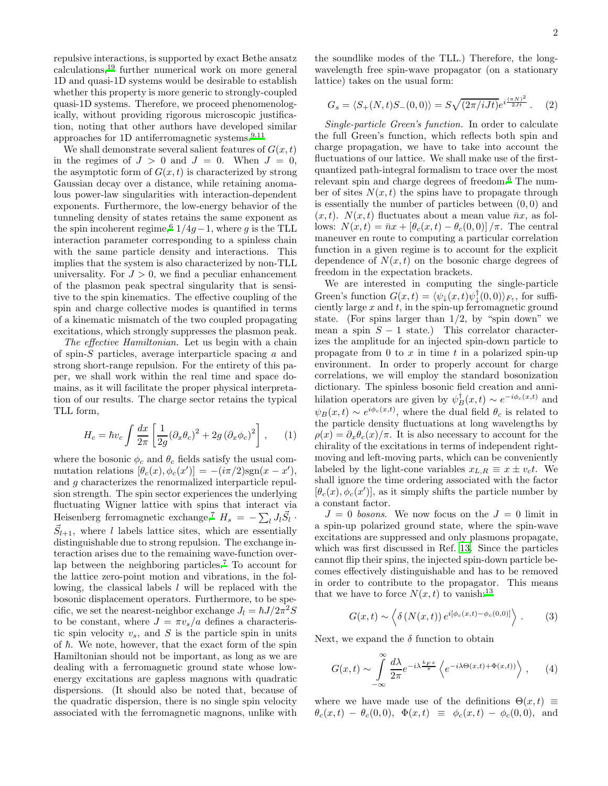repulsive interactions, is supported by exact Bethe ansatz calculations,[19](#page-4-12) further numerical work on more general 1D and quasi-1D systems would be desirable to establish whether this property is more generic to strongly-coupled quasi-1D systems. Therefore, we proceed phenomenologically, without providing rigorous microscopic justification, noting that other authors have developed similar approaches for 1D antiferromagnetic systems. $9,11$  $9,11$ 

We shall demonstrate several salient features of  $G(x, t)$ in the regimes of  $J > 0$  and  $J = 0$ . When  $J = 0$ , the asymptotic form of  $G(x, t)$  is characterized by strong Gaussian decay over a distance, while retaining anomalous power-law singularities with interaction-dependent exponents. Furthermore, the low-energy behavior of the tunneling density of states retains the same exponent as the spin incoherent regime,<sup>[6](#page-3-5)</sup>  $1/4g-1$ , where g is the TLL interaction parameter corresponding to a spinless chain with the same particle density and interactions. This implies that the system is also characterized by non-TLL universality. For  $J > 0$ , we find a peculiar enhancement of the plasmon peak spectral singularity that is sensitive to the spin kinematics. The effective coupling of the spin and charge collective modes is quantified in terms of a kinematic mismatch of the two coupled propagating excitations, which strongly suppresses the plasmon peak.

The effective Hamiltonian. Let us begin with a chain of spin-S particles, average interparticle spacing a and strong short-range repulsion. For the entirety of this paper, we shall work within the real time and space domains, as it will facilitate the proper physical interpretation of our results. The charge sector retains the typical TLL form,

$$
H_c = \hbar v_c \int \frac{dx}{2\pi} \left[ \frac{1}{2g} (\partial_x \theta_c)^2 + 2g (\partial_x \phi_c)^2 \right], \qquad (1)
$$

where the bosonic  $\phi_c$  and  $\theta_c$  fields satisfy the usual commutation relations  $[\theta_c(x), \phi_c(x')] = -(i\pi/2) \text{sgn}(x - x'),$ and g characterizes the renormalized interparticle repulsion strength. The spin sector experiences the underlying fluctuating Wigner lattice with spins that interact via Heisenberg ferromagnetic exchange,<sup>[7](#page-4-0)</sup>  $H_s = -\sum_l J_l \vec{S}_l$ .  $\vec{S}_{l+1}$ , where l labels lattice sites, which are essentially distinguishable due to strong repulsion. The exchange interaction arises due to the remaining wave-function over-lap between the neighboring particles.<sup>[7](#page-4-0)</sup> To account for the lattice zero-point motion and vibrations, in the following, the classical labels  $l$  will be replaced with the bosonic displacement operators. Furthermore, to be specific, we set the nearest-neighbor exchange  $J_l = \hbar J/2\pi^2 S$ to be constant, where  $J = \pi v_s/a$  defines a characteristic spin velocity  $v_s$ , and S is the particle spin in units of  $\hbar$ . We note, however, that the exact form of the spin Hamiltonian should not be important, as long as we are dealing with a ferromagnetic ground state whose lowenergy excitations are gapless magnons with quadratic dispersions. (It should also be noted that, because of the quadratic dispersion, there is no single spin velocity associated with the ferromagnetic magnons, unlike with

the soundlike modes of the TLL.) Therefore, the longwavelength free spin-wave propagator (on a stationary lattice) takes on the usual form:

<span id="page-1-1"></span>
$$
G_s = \langle S_+(N,t)S_-(0,0) \rangle = S \sqrt{(2\pi/iJt)} e^{i\frac{(\pi N)^2}{2Jt}}.
$$
 (2)

Single-particle Green's function. In order to calculate the full Green's function, which reflects both spin and charge propagation, we have to take into account the fluctuations of our lattice. We shall make use of the firstquantized path-integral formalism to trace over the most relevant spin and charge degrees of freedom.[6](#page-3-5) The number of sites  $N(x, t)$  the spins have to propagate through is essentially the number of particles between (0, 0) and  $(x, t)$ .  $N(x, t)$  fluctuates about a mean value  $\bar{n}x$ , as follows:  $N(x,t) = \bar{n}x + \left[\theta_c(x,t) - \theta_c(0,0)\right]/\pi$ . The central maneuver en route to computing a particular correlation function in a given regime is to account for the explicit dependence of  $N(x, t)$  on the bosonic charge degrees of freedom in the expectation brackets.

We are interested in computing the single-particle Green's function  $G(x,t) = \langle \psi_+(x,t) \psi_+^\dagger(0,0) \rangle_{F_{\uparrow}}$ , for sufficiently large  $x$  and  $t$ , in the spin-up ferromagnetic ground state. (For spins larger than  $1/2$ , by "spin down" we mean a spin  $S - 1$  state.) This correlator characterizes the amplitude for an injected spin-down particle to propagate from  $0$  to  $x$  in time  $t$  in a polarized spin-up environment. In order to properly account for charge correlations, we will employ the standard bosonization dictionary. The spinless bosonic field creation and annihilation operators are given by  $\psi_B^{\dagger}(x,t) \sim e^{-i\phi_c(x,t)}$  and  $\psi_B(x,t) \sim e^{i\phi_c(x,t)}$ , where the dual field  $\theta_c$  is related to the particle density fluctuations at long wavelengths by  $\rho(x) = \partial_x \theta_c(x)/\pi$ . It is also necessary to account for the chirality of the excitations in terms of independent rightmoving and left-moving parts, which can be conveniently labeled by the light-cone variables  $x_{L,R} \equiv x \pm v_c t$ . We shall ignore the time ordering associated with the factor  $[\theta_c(x), \phi_c(x')]$ , as it simply shifts the particle number by a constant factor.

 $J = 0$  bosons. We now focus on the  $J = 0$  limit in a spin-up polarized ground state, where the spin-wave excitations are suppressed and only plasmons propagate, which was first discussed in Ref. [13](#page-4-6). Since the particles cannot flip their spins, the injected spin-down particle becomes effectively distinguishable and has to be removed in order to contribute to the propagator. This means that we have to force  $N(x, t)$  to vanish:<sup>[13](#page-4-6)</sup>

<span id="page-1-0"></span>
$$
G(x,t) \sim \left\langle \delta \left( N(x,t) \right) e^{i[\phi_c(x,t) - \phi_c(0,0)]} \right\rangle. \tag{3}
$$

Next, we expand the  $\delta$  function to obtain

$$
G(x,t) \sim \int_{-\infty}^{\infty} \frac{d\lambda}{2\pi} e^{-i\lambda \frac{k_F x}{\pi}} \left\langle e^{-i\lambda \Theta(x,t) + \Phi(x,t))} \right\rangle, \quad (4)
$$

where we have made use of the definitions  $\Theta(x,t) \equiv$  $\theta_c(x, t) - \theta_c(0, 0), \ \Phi(x, t) \equiv \phi_c(x, t) - \phi_c(0, 0), \text{ and}$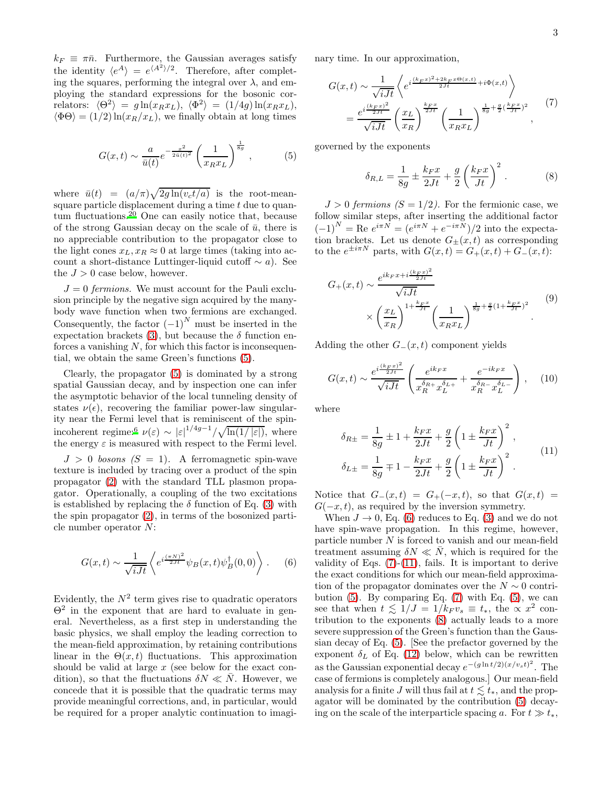$k_F \equiv \pi \bar{n}$ . Furthermore, the Gaussian averages satisfy the identity  $\langle e^A \rangle = e^{\langle A^2 \rangle/2}$ . Therefore, after completing the squares, performing the integral over  $\lambda$ , and employing the standard expressions for the bosonic correlators:  $\langle \Theta^2 \rangle = g \ln(x_R x_L), \quad \langle \Phi^2 \rangle = (1/4g) \ln(x_R x_L),$  $\langle \Phi \Theta \rangle = (1/2) \ln(x_R/x_L)$ , we finally obtain at long times

<span id="page-2-0"></span>
$$
G(x,t) \sim \frac{a}{\bar{u}(t)} e^{-\frac{x^2}{2\bar{u}(t)^2}} \left(\frac{1}{x_R x_L}\right)^{\frac{1}{8g}},
$$
 (5)

where  $\bar{u}(t) = (a/\pi)\sqrt{2g \ln(v_c t/a)}$  is the root-meansquare particle displacement during a time  $t$  due to quantum fluctuations.[20](#page-4-13) One can easily notice that, because of the strong Gaussian decay on the scale of  $\bar{u}$ , there is no appreciable contribution to the propagator close to the light cones  $x_L, x_R \approx 0$  at large times (taking into account a short-distance Luttinger-liquid cutoff  $\sim a$ ). See the  $J > 0$  case below, however.

 $J = 0$  fermions. We must account for the Pauli exclusion principle by the negative sign acquired by the manybody wave function when two fermions are exchanged. Consequently, the factor  $(-1)^N$  must be inserted in the expectation brackets [\(3\)](#page-1-0), but because the  $\delta$  function enforces a vanishing  $N$ , for which this factor is inconsequential, we obtain the same Green's functions [\(5\)](#page-2-0).

Clearly, the propagator [\(5\)](#page-2-0) is dominated by a strong spatial Gaussian decay, and by inspection one can infer the asymptotic behavior of the local tunneling density of states  $\nu(\epsilon)$ , recovering the familiar power-law singularity near the Fermi level that is reminiscent of the spin-incoherent regime:<sup>[6](#page-3-5)</sup>  $\nu(\varepsilon) \sim |\varepsilon|^{1/4g-1}/\sqrt{\ln(1/|\varepsilon|)},$  where the energy  $\varepsilon$  is measured with respect to the Fermi level.

 $J > 0$  bosons  $(S = 1)$ . A ferromagnetic spin-wave texture is included by tracing over a product of the spin propagator [\(2\)](#page-1-1) with the standard TLL plasmon propagator. Operationally, a coupling of the two excitations is established by replacing the  $\delta$  function of Eq. [\(3\)](#page-1-0) with the spin propagator [\(2\)](#page-1-1), in terms of the bosonized particle number operator N:

<span id="page-2-1"></span>
$$
G(x,t) \sim \frac{1}{\sqrt{iJt}} \left\langle e^{i\frac{(\pi N)^2}{2Jt}} \psi_B(x,t) \psi_B^{\dagger}(0,0) \right\rangle. \tag{6}
$$

Evidently, the  $N^2$  term gives rise to quadratic operators  $\Theta^2$  in the exponent that are hard to evaluate in general. Nevertheless, as a first step in understanding the basic physics, we shall employ the leading correction to the mean-field approximation, by retaining contributions linear in the  $\Theta(x,t)$  fluctuations. This approximation should be valid at large  $x$  (see below for the exact condition), so that the fluctuations  $\delta N \ll N$ . However, we concede that it is possible that the quadratic terms may provide meaningful corrections, and, in particular, would be required for a proper analytic continuation to imaginary time. In our approximation,

<span id="page-2-2"></span>
$$
G(x,t) \sim \frac{1}{\sqrt{iJt}} \left\langle e^{i\frac{(k_F x)^2 + 2k_F x \Theta(x,t)}{2Jt}} + i\Phi(x,t) \right\rangle
$$
  
= 
$$
\frac{e^{i\frac{(k_F x)^2}{2Jt}}}{\sqrt{iJt}} \left(\frac{x_L}{x_R}\right)^{\frac{k_F x}{2Jt}} \left(\frac{1}{x_R x_L}\right)^{\frac{1}{8g} + \frac{g}{2}\left(\frac{k_F x}{Jt}\right)^2},
$$
(7)

governed by the exponents

<span id="page-2-4"></span>
$$
\delta_{R,L} = \frac{1}{8g} \pm \frac{k_F x}{2Jt} + \frac{g}{2} \left(\frac{k_F x}{Jt}\right)^2.
$$
 (8)

 $J > 0$  fermions  $(S = 1/2)$ . For the fermionic case, we follow similar steps, after inserting the additional factor  $(-1)^N = \text{Re } e^{i\pi N} = (e^{i\pi N} + e^{-i\pi N})/2$  into the expectation brackets. Let us denote  $G_{\pm}(x,t)$  as corresponding to the  $e^{\pm i\pi N}$  parts, with  $G(x,t) = G_+(x,t) + G_-(x,t)$ :

$$
G_{+}(x,t) \sim \frac{e^{ik_{F}x+i\frac{(k_{F}x)^{2}}{2Jt}}}{\sqrt{iJt}} \times \left(\frac{x_{L}}{x_{R}}\right)^{1+\frac{k_{F}x}{Jt}} \left(\frac{1}{x_{R}x_{L}}\right)^{\frac{1}{8g}+\frac{g}{2}(1+\frac{k_{F}x}{Jt})^{2}}.
$$
\n(9)

Adding the other  $G_-(x,t)$  component yields

<span id="page-2-5"></span>
$$
G(x,t) \sim \frac{e^{i\frac{(k_F x)^2}{2Jt}}}{\sqrt{iJt}} \left( \frac{e^{ik_F x}}{x_R^{\delta_{R+}} x_L^{\delta_{L+}}} + \frac{e^{-ik_F x}}{x_R^{\delta_{R-}} x_L^{\delta_{L-}}} \right) , \quad (10)
$$

where

<span id="page-2-3"></span>
$$
\delta_{R\pm} = \frac{1}{8g} \pm 1 + \frac{k_F x}{2Jt} + \frac{g}{2} \left( 1 \pm \frac{k_F x}{Jt} \right)^2 ,
$$
  

$$
\delta_{L\pm} = \frac{1}{8g} \mp 1 - \frac{k_F x}{2Jt} + \frac{g}{2} \left( 1 \pm \frac{k_F x}{Jt} \right)^2 .
$$
 (11)

Notice that  $G_-(x,t) = G_+(-x,t)$ , so that  $G(x,t) =$  $G(-x, t)$ , as required by the inversion symmetry.

When  $J \to 0$ , Eq. [\(6\)](#page-2-1) reduces to Eq. [\(3\)](#page-1-0) and we do not have spin-wave propagation. In this regime, however, particle number  $N$  is forced to vanish and our mean-field treatment assuming  $\delta N \ll N$ , which is required for the validity of Eqs.  $(7)-(11)$  $(7)-(11)$ , fails. It is important to derive the exact conditions for which our mean-field approximation of the propagator dominates over the  $N \sim 0$  contribution  $(5)$ . By comparing Eq.  $(7)$  with Eq.  $(5)$ , we can see that when  $t \leq 1/J = 1/k_F v_s \equiv t_*$ , the  $\propto x^2$  contribution to the exponents [\(8\)](#page-2-4) actually leads to a more severe suppression of the Green's function than the Gaussian decay of Eq. [\(5\)](#page-2-0). [See the prefactor governed by the exponent  $\delta_L$  of Eq. [\(12\)](#page-3-6) below, which can be rewritten as the Gaussian exponential decay  $e^{-(g \ln t/2)(x/v_s t)^2}$ . The case of fermions is completely analogous.] Our mean-field analysis for a finite J will thus fail at  $t \lesssim t_*$ , and the propagator will be dominated by the contribution [\(5\)](#page-2-0) decaying on the scale of the interparticle spacing a. For  $t \gg t_*$ ,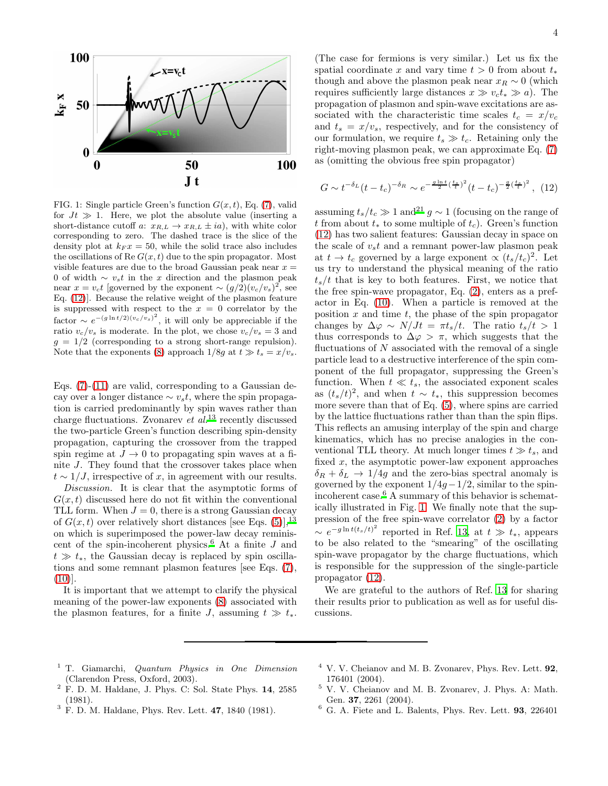

<span id="page-3-7"></span>FIG. 1: Single particle Green's function  $G(x, t)$ , Eq. [\(7\)](#page-2-2), valid for  $Jt \gg 1$ . Here, we plot the absolute value (inserting a short-distance cutoff a:  $x_{R,L} \rightarrow x_{R,L} \pm ia$ , with white color corresponding to zero. The dashed trace is the slice of the density plot at  $k_F x = 50$ , while the solid trace also includes the oscillations of Re  $G(x, t)$  due to the spin propagator. Most visible features are due to the broad Gaussian peak near  $x =$ 0 of width  $\sim v_s t$  in the x direction and the plasmon peak near  $x = v_c t$  [governed by the exponent  $\sim (g/2)(v_c/v_s)^2$ , see Eq. [\(12\)](#page-3-6)]. Because the relative weight of the plasmon feature is suppressed with respect to the  $x = 0$  correlator by the factor  $\sim e^{-(g \ln t/2)(v_c/v_s)^2}$ , it will only be appreciable if the ratio  $v_c/v_s$  is moderate. In the plot, we chose  $v_c/v_s = 3$  and  $g = 1/2$  (corresponding to a strong short-range repulsion). Note that the exponents [\(8\)](#page-2-4) approach  $1/8g$  at  $t \gg t_s = x/v_s$ .

Eqs.  $(7)-(11)$  $(7)-(11)$  are valid, corresponding to a Gaussian decay over a longer distance  $\sim v_s t$ , where the spin propagation is carried predominantly by spin waves rather than charge fluctuations. Zvonarev  $et\ al.<sup>13</sup>$  $et\ al.<sup>13</sup>$  $et\ al.<sup>13</sup>$  recently discussed the two-particle Green's function describing spin-density propagation, capturing the crossover from the trapped spin regime at  $J \to 0$  to propagating spin waves at a finite J. They found that the crossover takes place when  $t \sim 1/J$ , irrespective of x, in agreement with our results.

Discussion. It is clear that the asymptotic forms of  $G(x, t)$  discussed here do not fit within the conventional TLL form. When  $J = 0$ , there is a strong Gaussian decay of  $G(x, t)$  over relatively short distances [see Eqs. [\(5\)](#page-2-0)],<sup>[13](#page-4-6)</sup> on which is superimposed the power-law decay reminis-cent of the spin-incoherent physics.<sup>[6](#page-3-5)</sup> At a finite  $J$  and  $t \gg t_*$ , the Gaussian decay is replaced by spin oscillations and some remnant plasmon features [see Eqs. [\(7\)](#page-2-2),  $(10)$ ].

It is important that we attempt to clarify the physical meaning of the power-law exponents [\(8\)](#page-2-4) associated with the plasmon features, for a finite J, assuming  $t \gg t_*$ .

(The case for fermions is very similar.) Let us fix the spatial coordinate x and vary time  $t > 0$  from about  $t_*$ though and above the plasmon peak near  $x_R \sim 0$  (which requires sufficiently large distances  $x \gg v_c t_* \gg a$ ). The propagation of plasmon and spin-wave excitations are associated with the characteristic time scales  $t_c = x/v_c$ and  $t_s = x/v_s$ , respectively, and for the consistency of our formulation, we require  $t_s \gg t_c$ . Retaining only the right-moving plasmon peak, we can approximate Eq. [\(7\)](#page-2-2) as (omitting the obvious free spin propagator)

<span id="page-3-6"></span>
$$
G \sim t^{-\delta_L} (t - t_c)^{-\delta_R} \sim e^{-\frac{g \ln t}{2} (\frac{t_s}{t})^2} (t - t_c)^{-\frac{g}{2} (\frac{t_s}{t})^2}, (12)
$$

assuming  $t_s/t_c \gg 1$  and<sup>[21](#page-4-14)</sup> g ~ 1 (focusing on the range of t from about  $t_*$  to some multiple of  $t_c$ ). Green's function [\(12\)](#page-3-6) has two salient features: Gaussian decay in space on the scale of  $v<sub>s</sub>t$  and a remnant power-law plasmon peak at  $t \to t_c$  governed by a large exponent  $\propto (t_s/t_c)^2$ . Let us try to understand the physical meaning of the ratio  $t_{s}/t$  that is key to both features. First, we notice that the free spin-wave propagator, Eq. [\(2\)](#page-1-1), enters as a prefactor in Eq. [\(10\)](#page-2-5). When a particle is removed at the position  $x$  and time  $t$ , the phase of the spin propagator changes by  $\Delta \varphi \sim N/Jt = \pi t_s/t$ . The ratio  $t_s/t > 1$ thus corresponds to  $\Delta \varphi > \pi$ , which suggests that the fluctuations of  $N$  associated with the removal of a single particle lead to a destructive interference of the spin component of the full propagator, suppressing the Green's function. When  $t \ll t_s$ , the associated exponent scales as  $(t_s/t)^2$ , and when  $t \sim t_*$ , this suppression becomes more severe than that of Eq. [\(5\)](#page-2-0), where spins are carried by the lattice fluctuations rather than than the spin flips. This reflects an amusing interplay of the spin and charge kinematics, which has no precise analogies in the conventional TLL theory. At much longer times  $t \gg t_s$ , and fixed  $x$ , the asymptotic power-law exponent approaches  $\delta_R + \delta_L \rightarrow 1/4g$  and the zero-bias spectral anomaly is governed by the exponent  $1/4g-1/2$ , similar to the spinincoherent case.[6](#page-3-5) A summary of this behavior is schematically illustrated in Fig. [1.](#page-3-7) We finally note that the suppression of the free spin-wave correlator [\(2\)](#page-1-1) by a factor  $\sim e^{-g \ln t (t_s/t)^2}$  reported in Ref. [13,](#page-4-6) at  $t \gg t_*$ , appears to be also related to the "smearing" of the oscillating spin-wave propagator by the charge fluctuations, which is responsible for the suppression of the single-particle propagator [\(12\)](#page-3-6).

We are grateful to the authors of Ref. [13](#page-4-6) for sharing their results prior to publication as well as for useful discussions.

- <span id="page-3-0"></span><sup>1</sup> T. Giamarchi, *Quantum Physics in One Dimension* (Clarendon Press, Oxford, 2003).
- <span id="page-3-1"></span> $2$  F. D. M. Haldane, J. Phys. C: Sol. State Phys. 14, 2585 (1981).
- <span id="page-3-2"></span> $3 \text{ F. D. M. Haldane, Phys. Rev. Lett. } 47,1840 (1981).$
- <span id="page-3-3"></span> $4$  V. V. Cheianov and M. B. Zvonarev, Phys. Rev. Lett.  $92$ . 176401 (2004).
- <span id="page-3-4"></span><sup>5</sup> V. V. Cheianov and M. B. Zvonarev, J. Phys. A: Math. Gen. 37, 2261 (2004).
- <span id="page-3-5"></span><sup>6</sup> G. A. Fiete and L. Balents, Phys. Rev. Lett. 93, 226401